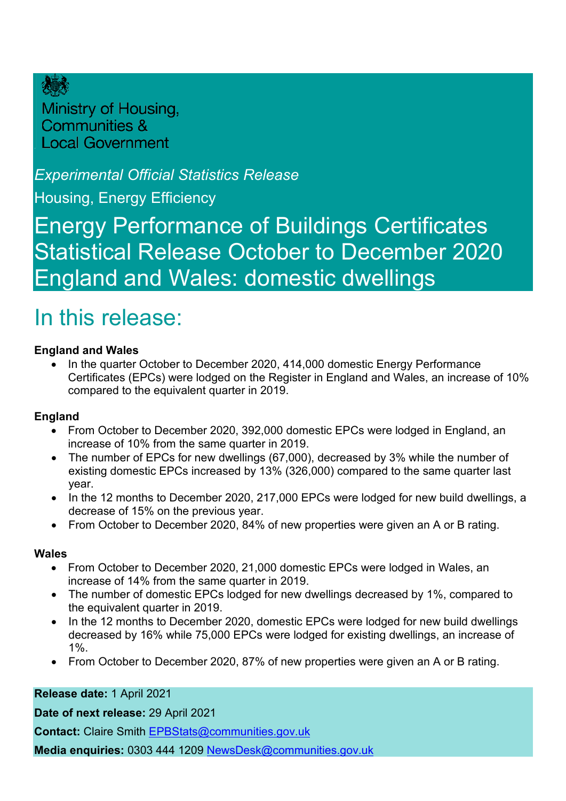

Ministry of Housing, **Communities & Local Government** 

## *Experimental Official Statistics Release*

Housing, Energy Efficiency

Energy Performance of Buildings Certificates Statistical Release October to December 2020 England and Wales: domestic dwellings

# <span id="page-0-0"></span>In this release:

### **England and Wales**

• In the quarter October to December 2020, 414,000 domestic Energy Performance Certificates (EPCs) were lodged on the Register in England and Wales, an increase of 10% compared to the equivalent quarter in 2019.

### **England**

- From October to December 2020, 392,000 domestic EPCs were lodged in England, an increase of 10% from the same quarter in 2019.
- The number of EPCs for new dwellings (67,000), decreased by 3% while the number of existing domestic EPCs increased by 13% (326,000) compared to the same quarter last year.
- In the 12 months to December 2020, 217,000 EPCs were lodged for new build dwellings, a decrease of 15% on the previous year.
- From October to December 2020, 84% of new properties were given an A or B rating.

### **Wales**

- From October to December 2020, 21,000 domestic EPCs were lodged in Wales, an increase of 14% from the same quarter in 2019.
- The number of domestic EPCs lodged for new dwellings decreased by 1%, compared to the equivalent quarter in 2019.
- In the 12 months to December 2020, domestic EPCs were lodged for new build dwellings decreased by 16% while 75,000 EPCs were lodged for existing dwellings, an increase of 1%.
- From October to December 2020, 87% of new properties were given an A or B rating.

### **Release date:** 1 April 2021

**Date of next release:** 29 April 2021

**Contact:** Claire Smith [EPBStats@communities.gov.uk](mailto:EPBStats@communities.gov.uk)

**Media enquiries:** 0303 444 1209 [NewsDesk@communities.gov.uk](mailto:NewsDesk@communities.gov.uk)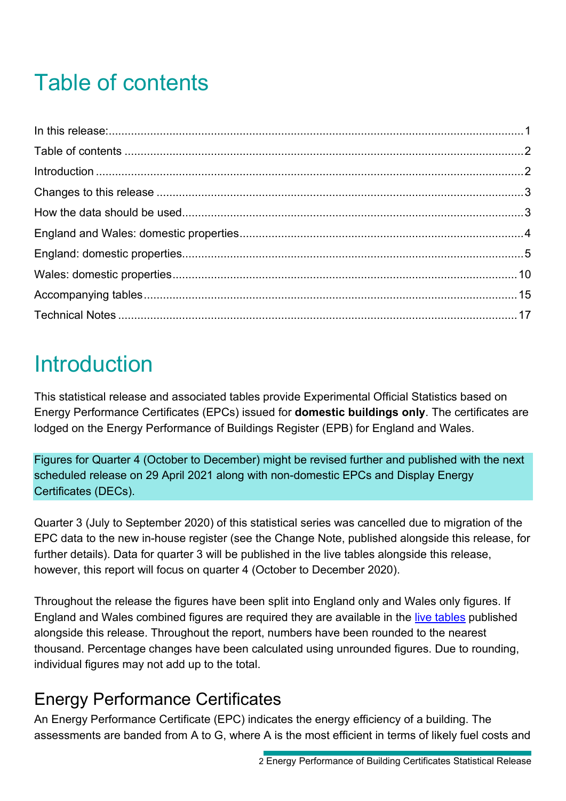# <span id="page-1-0"></span>Table of contents

# <span id="page-1-1"></span>Introduction

This statistical release and associated tables provide Experimental Official Statistics based on Energy Performance Certificates (EPCs) issued for **domestic buildings only**. The certificates are lodged on the Energy Performance of Buildings Register (EPB) for England and Wales.

Figures for Quarter 4 (October to December) might be revised further and published with the next scheduled release on 29 April 2021 along with non-domestic EPCs and Display Energy Certificates (DECs).

Quarter 3 (July to September 2020) of this statistical series was cancelled due to migration of the EPC data to the new in-house register (see the Change Note, published alongside this release, for further details). Data for quarter 3 will be published in the live tables alongside this release, however, this report will focus on quarter 4 (October to December 2020).

Throughout the release the figures have been split into England only and Wales only figures. If England and Wales combined figures are required they are available in the [live tables](https://www.gov.uk/government/statistical-data-sets/live-tables-on-energy-performance-of-buildings-certificates) published alongside this release. Throughout the report, numbers have been rounded to the nearest thousand. Percentage changes have been calculated using unrounded figures. Due to rounding, individual figures may not add up to the total.

# Energy Performance Certificates

An Energy Performance Certificate (EPC) indicates the energy efficiency of a building. The assessments are banded from A to G, where A is the most efficient in terms of likely fuel costs and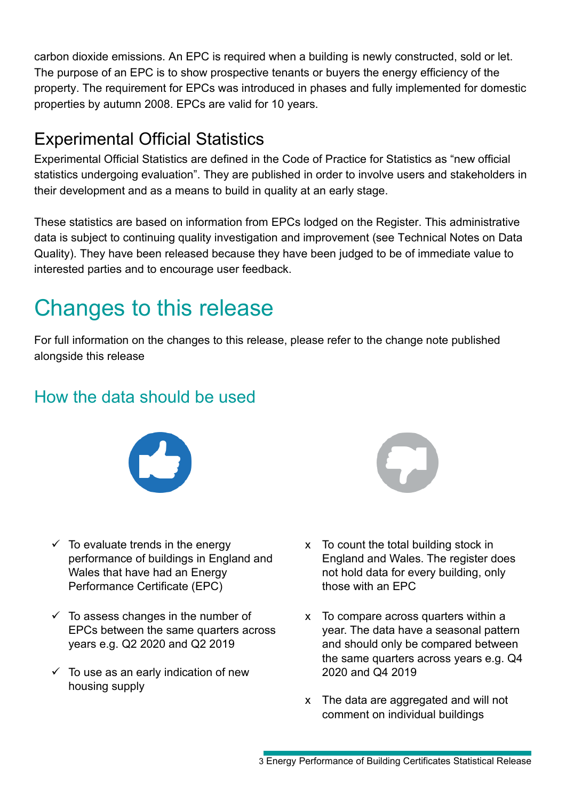carbon dioxide emissions. An EPC is required when a building is newly constructed, sold or let. The purpose of an EPC is to show prospective tenants or buyers the energy efficiency of the property. The requirement for EPCs was introduced in phases and fully implemented for domestic properties by autumn 2008. EPCs are valid for 10 years.

# Experimental Official Statistics

Experimental Official Statistics are defined in the Code of Practice for Statistics as "new official statistics undergoing evaluation". They are published in order to involve users and stakeholders in their development and as a means to build in quality at an early stage.

These statistics are based on information from EPCs lodged on the Register. This administrative data is subject to continuing quality investigation and improvement (see Technical Notes on Data Quality). They have been released because they have been judged to be of immediate value to interested parties and to encourage user feedback.

# <span id="page-2-0"></span>Changes to this release

For full information on the changes to this release, please refer to the change note published alongside this release

# <span id="page-2-1"></span>How the data should be used



- $\checkmark$  To evaluate trends in the energy performance of buildings in England and Wales that have had an Energy Performance Certificate (EPC)
- $\checkmark$  To assess changes in the number of EPCs between the same quarters across years e.g. Q2 2020 and Q2 2019
- $\checkmark$  To use as an early indication of new housing supply



- x To count the total building stock in England and Wales. The register does not hold data for every building, only those with an EPC
- x To compare across quarters within a year. The data have a seasonal pattern and should only be compared between the same quarters across years e.g. Q4 2020 and Q4 2019
- x The data are aggregated and will not comment on individual buildings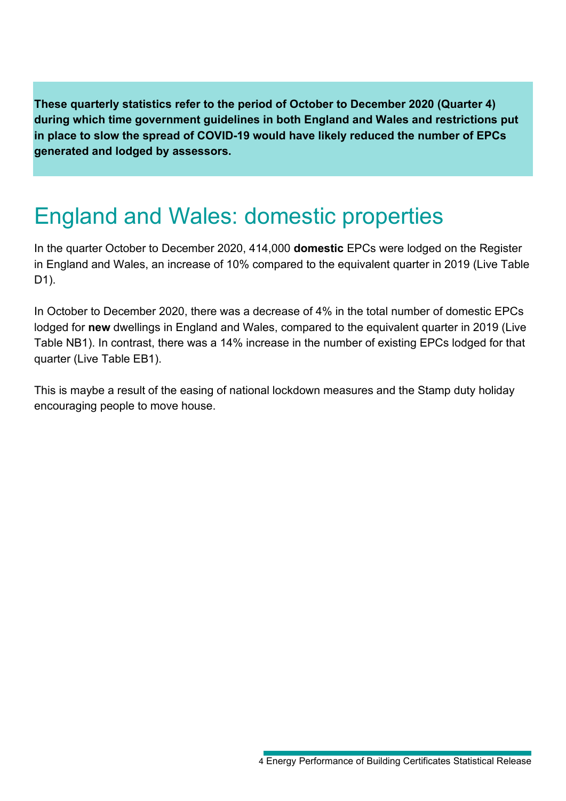**These quarterly statistics refer to the period of October to December 2020 (Quarter 4) during which time government guidelines in both England and Wales and restrictions put in place to slow the spread of COVID-19 would have likely reduced the number of EPCs generated and lodged by assessors.** 

# <span id="page-3-0"></span>England and Wales: domestic properties

In the quarter October to December 2020, 414,000 **domestic** EPCs were lodged on the Register in England and Wales, an increase of 10% compared to the equivalent quarter in 2019 (Live Table D1).

In October to December 2020, there was a decrease of 4% in the total number of domestic EPCs lodged for **new** dwellings in England and Wales, compared to the equivalent quarter in 2019 (Live Table NB1). In contrast, there was a 14% increase in the number of existing EPCs lodged for that quarter (Live Table EB1).

This is maybe a result of the easing of national lockdown measures and the Stamp duty holiday encouraging people to move house.

<sup>4</sup> Energy Performance of Building Certificates Statistical Release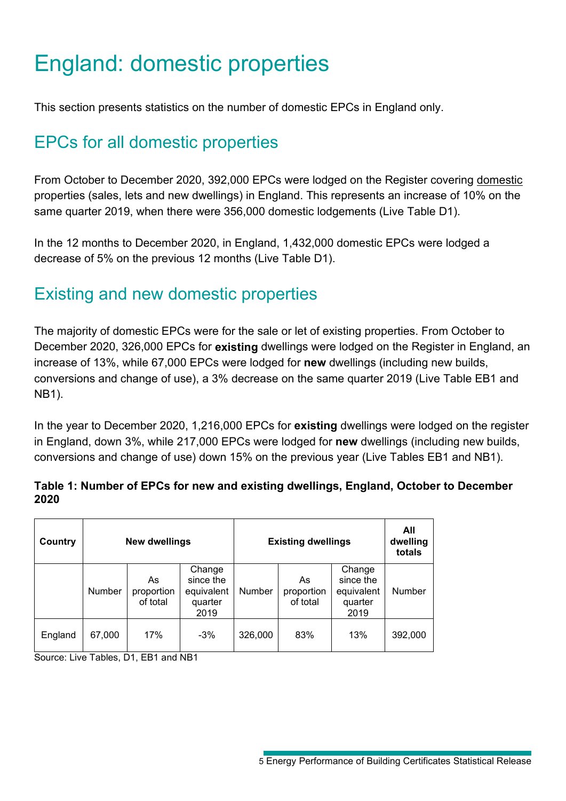# <span id="page-4-0"></span>England: domestic properties

This section presents statistics on the number of domestic EPCs in England only.

# EPCs for all domestic properties

From October to December 2020, 392,000 EPCs were lodged on the Register covering domestic properties (sales, lets and new dwellings) in England. This represents an increase of 10% on the same quarter 2019, when there were 356,000 domestic lodgements (Live Table D1).

In the 12 months to December 2020, in England, 1,432,000 domestic EPCs were lodged a decrease of 5% on the previous 12 months (Live Table D1).

## Existing and new domestic properties

The majority of domestic EPCs were for the sale or let of existing properties. From October to December 2020, 326,000 EPCs for **existing** dwellings were lodged on the Register in England, an increase of 13%, while 67,000 EPCs were lodged for **new** dwellings (including new builds, conversions and change of use), a 3% decrease on the same quarter 2019 (Live Table EB1 and NB1).

In the year to December 2020, 1,216,000 EPCs for **existing** dwellings were lodged on the register in England, down 3%, while 217,000 EPCs were lodged for **new** dwellings (including new builds, conversions and change of use) down 15% on the previous year (Live Tables EB1 and NB1).

### **Table 1: Number of EPCs for new and existing dwellings, England, October to December 2020**

| Country | <b>New dwellings</b> |                              |                                                      |         | <b>Existing dwellings</b>    |                                                      | All<br>dwelling<br>totals |
|---------|----------------------|------------------------------|------------------------------------------------------|---------|------------------------------|------------------------------------------------------|---------------------------|
|         | <b>Number</b>        | As<br>proportion<br>of total | Change<br>since the<br>equivalent<br>quarter<br>2019 | Number  | As<br>proportion<br>of total | Change<br>since the<br>equivalent<br>quarter<br>2019 | Number                    |
| England | 67,000               | 17%                          | $-3%$                                                | 326,000 | 83%                          | 13%                                                  | 392,000                   |

Source: Live Tables, D1, EB1 and NB1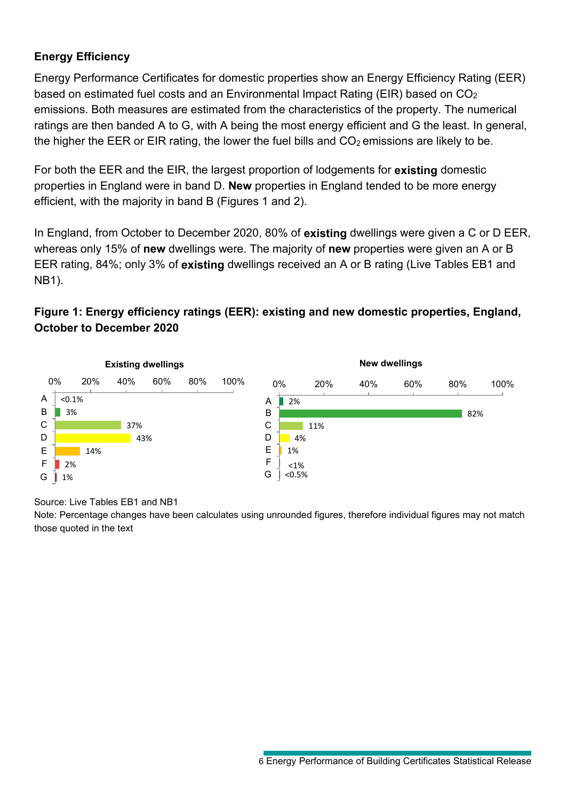## **Energy Efficiency**

Energy Performance Certificates for domestic properties show an Energy Efficiency Rating (EER) based on estimated fuel costs and an Environmental Impact Rating (EIR) based on CO2 emissions. Both measures are estimated from the characteristics of the property. The numerical ratings are then banded A to G, with A being the most energy efficient and G the least. In general, the higher the EER or EIR rating, the lower the fuel bills and  $CO<sub>2</sub>$  emissions are likely to be.

For both the EER and the EIR, the largest proportion of lodgements for **existing** domestic properties in England were in band D. **New** properties in England tended to be more energy efficient, with the majority in band B (Figures 1 and 2).

In England, from October to December 2020, 80% of **existing** dwellings were given a C or D EER, whereas only 15% of **new** dwellings were. The majority of **new** properties were given an A or B EER rating, 84%; only 3% of **existing** dwellings received an A or B rating (Live Tables EB1 and NB1).

## **Figure 1: Energy efficiency ratings (EER): existing and new domestic properties, England, October to December 2020**



#### Source: Live Tables EB1 and NB1

Note: Percentage changes have been calculates using unrounded figures, therefore individual figures may not match those quoted in the text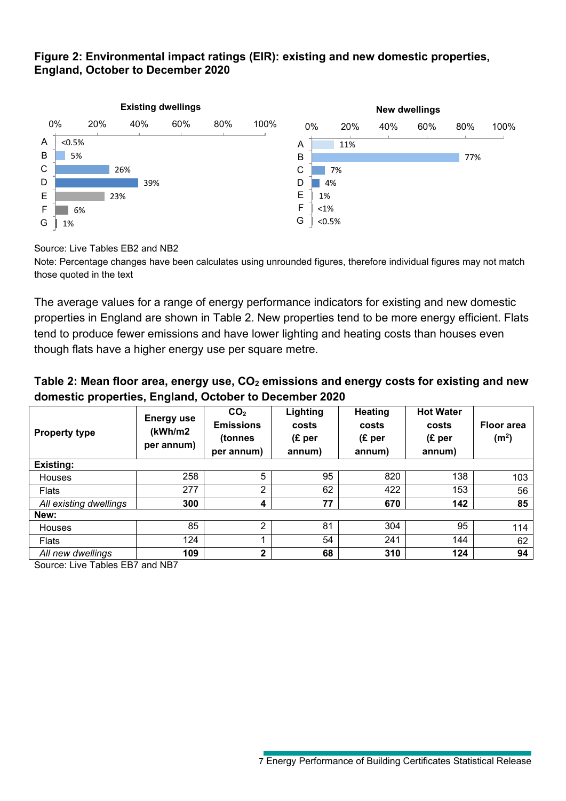### **Figure 2: Environmental impact ratings (EIR): existing and new domestic properties, England, October to December 2020**



Source: Live Tables EB2 and NB2

Note: Percentage changes have been calculates using unrounded figures, therefore individual figures may not match those quoted in the text

The average values for a range of energy performance indicators for existing and new domestic properties in England are shown in Table 2. New properties tend to be more energy efficient. Flats tend to produce fewer emissions and have lower lighting and heating costs than houses even though flats have a higher energy use per square metre.

### Table 2: Mean floor area, energy use, CO<sub>2</sub> emissions and energy costs for existing and new **domestic properties, England, October to December 2020**

| <b>Property type</b>                                                            | <b>Energy use</b><br>(kWh/m2)<br>per annum) | CO <sub>2</sub><br><b>Emissions</b><br>(tonnes<br>per annum) | Lighting<br>costs<br>(E <sub>per</sub> )<br>annum) | Heating<br>costs<br>(E <sub>per</sub> )<br>annum) | <b>Hot Water</b><br>costs<br>(E <sub>per</sub> )<br>annum) | <b>Floor area</b><br>(m <sup>2</sup> ) |
|---------------------------------------------------------------------------------|---------------------------------------------|--------------------------------------------------------------|----------------------------------------------------|---------------------------------------------------|------------------------------------------------------------|----------------------------------------|
| Existing:                                                                       |                                             |                                                              |                                                    |                                                   |                                                            |                                        |
| <b>Houses</b>                                                                   | 258                                         | 5                                                            | 95                                                 | 820                                               | 138                                                        | 103                                    |
| <b>Flats</b>                                                                    | 277                                         | 2                                                            | 62                                                 | 422                                               | 153                                                        | 56                                     |
| All existing dwellings                                                          | 300                                         | 4                                                            | 77                                                 | 670                                               | 142                                                        | 85                                     |
| New:                                                                            |                                             |                                                              |                                                    |                                                   |                                                            |                                        |
| <b>Houses</b>                                                                   | 85                                          | 2                                                            | 81                                                 | 304                                               | 95                                                         | 114                                    |
| <b>Flats</b>                                                                    | 124                                         |                                                              | 54                                                 | 241                                               | 144                                                        | 62                                     |
| All new dwellings<br>$\Omega$ . The $\tau$ is $\Gamma$ and $\tau$ is the $\tau$ | 109                                         | $\mathbf{2}$                                                 | 68                                                 | 310                                               | 124                                                        | 94                                     |

Source: Live Tables EB7 and NB7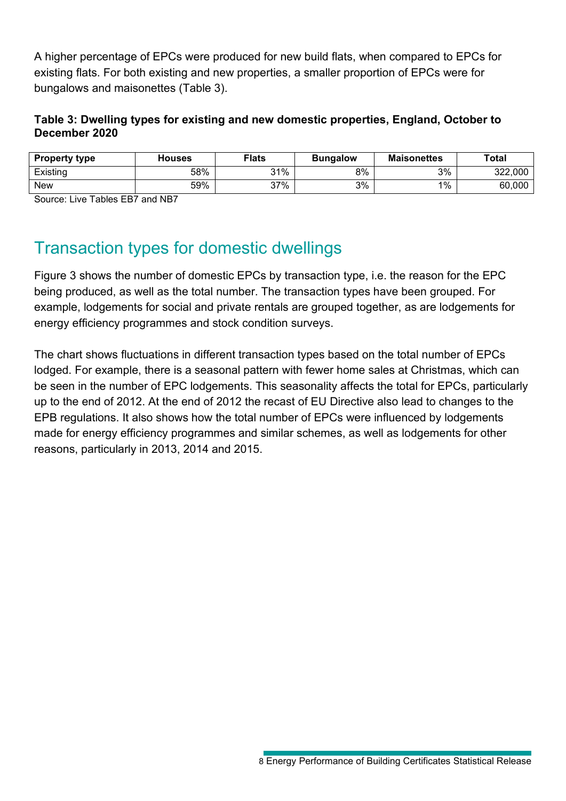A higher percentage of EPCs were produced for new build flats, when compared to EPCs for existing flats. For both existing and new properties, a smaller proportion of EPCs were for bungalows and maisonettes (Table 3).

### **Table 3: Dwelling types for existing and new domestic properties, England, October to December 2020**

| <b>Property type</b> | <b>Houses</b> | <b>Flats</b> | <b>Bungalow</b> | <b>Maisonettes</b> | <b>Total</b> |
|----------------------|---------------|--------------|-----------------|--------------------|--------------|
| Existing             | 58%           | 31%          | 8%              | 3%                 | 322,000      |
| <b>New</b>           | 59%           | 37%          | 3%              | 1%                 | 60,000       |

Source: Live Tables EB7 and NB7

# Transaction types for domestic dwellings

Figure 3 shows the number of domestic EPCs by transaction type, i.e. the reason for the EPC being produced, as well as the total number. The transaction types have been grouped. For example, lodgements for social and private rentals are grouped together, as are lodgements for energy efficiency programmes and stock condition surveys.

The chart shows fluctuations in different transaction types based on the total number of EPCs lodged. For example, there is a seasonal pattern with fewer home sales at Christmas, which can be seen in the number of EPC lodgements. This seasonality affects the total for EPCs, particularly up to the end of 2012. At the end of 2012 the recast of EU Directive also lead to changes to the EPB regulations. It also shows how the total number of EPCs were influenced by lodgements made for energy efficiency programmes and similar schemes, as well as lodgements for other reasons, particularly in 2013, 2014 and 2015.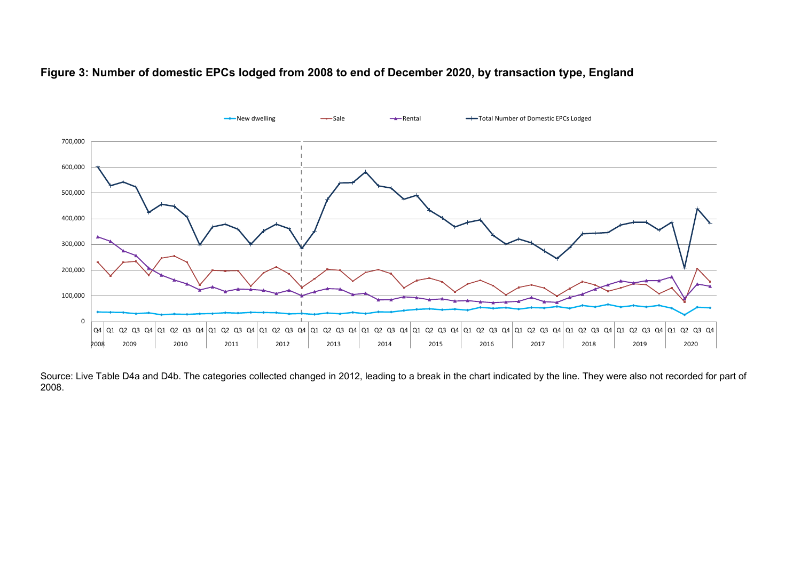



Source: Live Table D4a and D4b. The categories collected changed in 2012, leading to a break in the chart indicated by the line. They were also not recorded for part of 2008.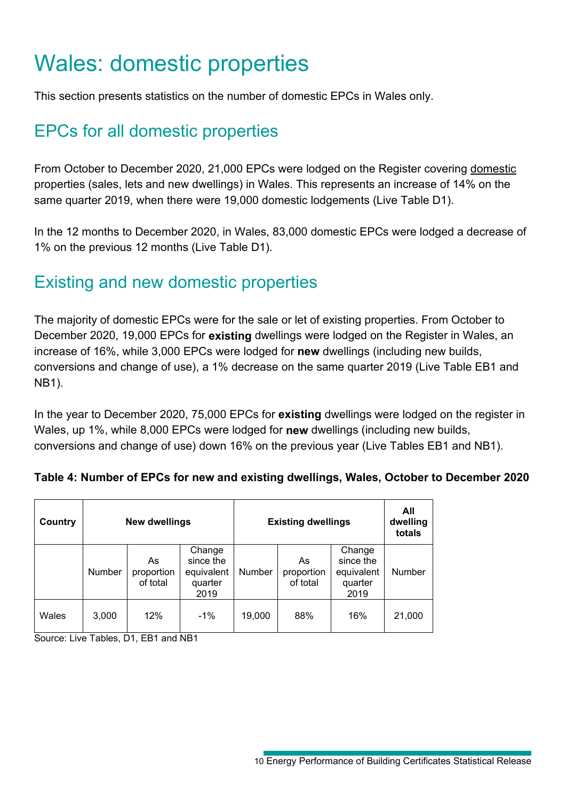# <span id="page-9-0"></span>Wales: domestic properties

This section presents statistics on the number of domestic EPCs in Wales only.

# EPCs for all domestic properties

From October to December 2020, 21,000 EPCs were lodged on the Register covering domestic properties (sales, lets and new dwellings) in Wales. This represents an increase of 14% on the same quarter 2019, when there were 19,000 domestic lodgements (Live Table D1).

In the 12 months to December 2020, in Wales, 83,000 domestic EPCs were lodged a decrease of 1% on the previous 12 months (Live Table D1).

# Existing and new domestic properties

The majority of domestic EPCs were for the sale or let of existing properties. From October to December 2020, 19,000 EPCs for **existing** dwellings were lodged on the Register in Wales, an increase of 16%, while 3,000 EPCs were lodged for **new** dwellings (including new builds, conversions and change of use), a 1% decrease on the same quarter 2019 (Live Table EB1 and NB1).

In the year to December 2020, 75,000 EPCs for **existing** dwellings were lodged on the register in Wales, up 1%, while 8,000 EPCs were lodged for **new** dwellings (including new builds, conversions and change of use) down 16% on the previous year (Live Tables EB1 and NB1).

## **Table 4: Number of EPCs for new and existing dwellings, Wales, October to December 2020**

| Country | New dwellings |                              |                                                      |        | <b>Existing dwellings</b>    |                                                      | All<br>dwelling<br>totals |
|---------|---------------|------------------------------|------------------------------------------------------|--------|------------------------------|------------------------------------------------------|---------------------------|
|         | <b>Number</b> | As<br>proportion<br>of total | Change<br>since the<br>equivalent<br>quarter<br>2019 | Number | As<br>proportion<br>of total | Change<br>since the<br>equivalent<br>quarter<br>2019 | Number                    |
| Wales   | 3,000         | 12%                          | $-1\%$                                               | 19,000 | 88%                          | 16%                                                  | 21,000                    |

Source: Live Tables, D1, EB1 and NB1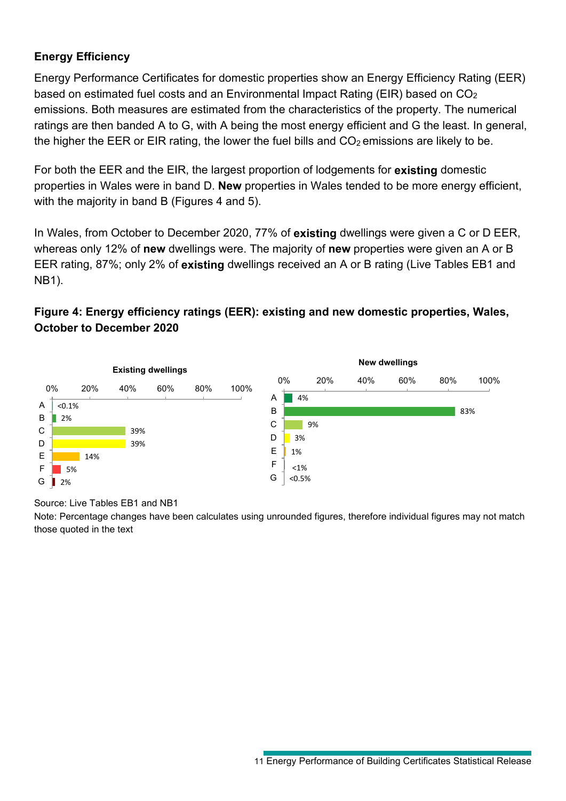## **Energy Efficiency**

Energy Performance Certificates for domestic properties show an Energy Efficiency Rating (EER) based on estimated fuel costs and an Environmental Impact Rating (EIR) based on CO2 emissions. Both measures are estimated from the characteristics of the property. The numerical ratings are then banded A to G, with A being the most energy efficient and G the least. In general, the higher the EER or EIR rating, the lower the fuel bills and  $CO<sub>2</sub>$  emissions are likely to be.

For both the EER and the EIR, the largest proportion of lodgements for **existing** domestic properties in Wales were in band D. **New** properties in Wales tended to be more energy efficient, with the majority in band B (Figures 4 and 5).

In Wales, from October to December 2020, 77% of **existing** dwellings were given a C or D EER, whereas only 12% of **new** dwellings were. The majority of **new** properties were given an A or B EER rating, 87%; only 2% of **existing** dwellings received an A or B rating (Live Tables EB1 and NB1).

## **Figure 4: Energy efficiency ratings (EER): existing and new domestic properties, Wales, October to December 2020**



#### Source: Live Tables EB1 and NB1

Note: Percentage changes have been calculates using unrounded figures, therefore individual figures may not match those quoted in the text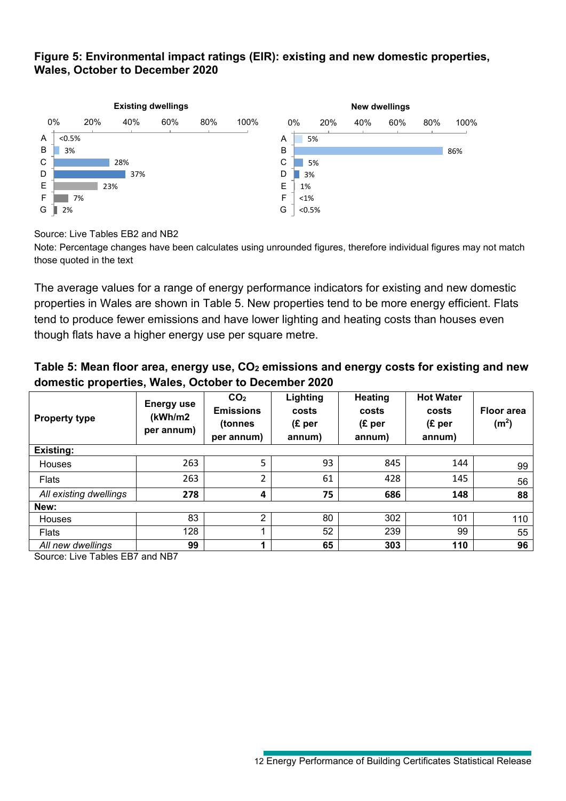#### **Figure 5: Environmental impact ratings (EIR): existing and new domestic properties, Wales, October to December 2020**



Source: Live Tables EB2 and NB2

Note: Percentage changes have been calculates using unrounded figures, therefore individual figures may not match those quoted in the text

The average values for a range of energy performance indicators for existing and new domestic properties in Wales are shown in Table 5. New properties tend to be more energy efficient. Flats tend to produce fewer emissions and have lower lighting and heating costs than houses even though flats have a higher energy use per square metre.

### Table 5: Mean floor area, energy use, CO<sub>2</sub> emissions and energy costs for existing and new **domestic properties, Wales, October to December 2020**

| <b>Property type</b>                                            | <b>Energy use</b><br>(kWh/m2<br>per annum) | CO <sub>2</sub><br><b>Emissions</b><br>(tonnes<br>per annum) | Lighting<br>costs<br>(E <sub>per</sub> )<br>annum) | <b>Heating</b><br>costs<br>(E <sub>per</sub> )<br>annum) | <b>Hot Water</b><br>costs<br>(E <sub>per</sub> )<br>annum) | <b>Floor area</b><br>(m <sup>2</sup> ) |
|-----------------------------------------------------------------|--------------------------------------------|--------------------------------------------------------------|----------------------------------------------------|----------------------------------------------------------|------------------------------------------------------------|----------------------------------------|
| <b>Existing:</b>                                                |                                            |                                                              |                                                    |                                                          |                                                            |                                        |
| Houses                                                          | 263                                        | 5                                                            | 93                                                 | 845                                                      | 144                                                        | 99                                     |
| Flats                                                           | 263                                        | $\overline{2}$                                               | 61                                                 | 428                                                      | 145                                                        | 56                                     |
| All existing dwellings                                          | 278                                        | 4                                                            | 75                                                 | 686                                                      | 148                                                        | 88                                     |
| New:                                                            |                                            |                                                              |                                                    |                                                          |                                                            |                                        |
| Houses                                                          | 83                                         | 2                                                            | 80                                                 | 302                                                      | 101                                                        | 110                                    |
| Flats                                                           | 128                                        |                                                              | 52                                                 | 239                                                      | 99                                                         | 55                                     |
| All new dwellings<br>$O_{\text{SUSY}}$ , the Tables FD7 and ND7 | 99                                         | и                                                            | 65                                                 | 303                                                      | 110                                                        | 96                                     |

Source: Live Tables EB7 and NB7

<sup>12</sup> Energy Performance of Building Certificates Statistical Release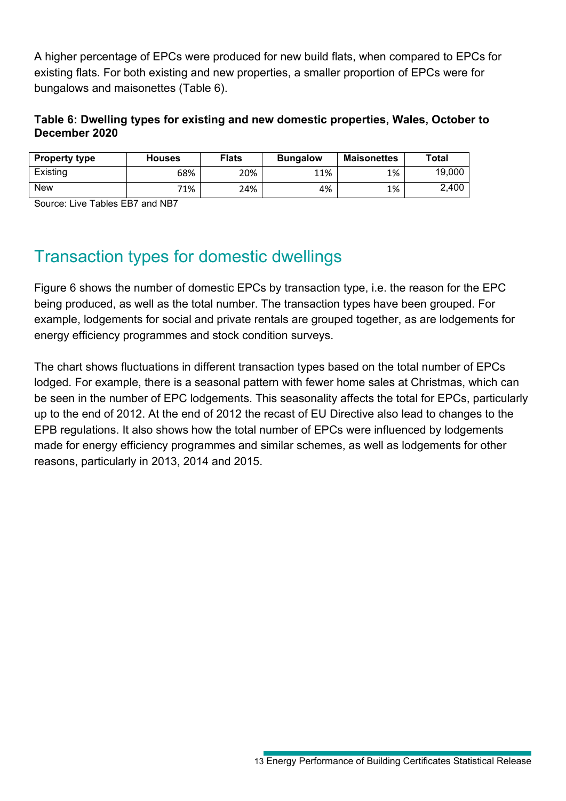A higher percentage of EPCs were produced for new build flats, when compared to EPCs for existing flats. For both existing and new properties, a smaller proportion of EPCs were for bungalows and maisonettes (Table 6).

### **Table 6: Dwelling types for existing and new domestic properties, Wales, October to December 2020**

| <b>Property type</b> | <b>Houses</b> | <b>Flats</b> | <b>Bungalow</b> | Maisonettes | Total  |
|----------------------|---------------|--------------|-----------------|-------------|--------|
| Existing             | 68%           | 20%          | 11%             | 1%          | 19,000 |
| <b>New</b>           | 71%           | 24%          | 4%              | 1%          | 2,400  |

Source: Live Tables EB7 and NB7

## Transaction types for domestic dwellings

Figure 6 shows the number of domestic EPCs by transaction type, i.e. the reason for the EPC being produced, as well as the total number. The transaction types have been grouped. For example, lodgements for social and private rentals are grouped together, as are lodgements for energy efficiency programmes and stock condition surveys.

The chart shows fluctuations in different transaction types based on the total number of EPCs lodged. For example, there is a seasonal pattern with fewer home sales at Christmas, which can be seen in the number of EPC lodgements. This seasonality affects the total for EPCs, particularly up to the end of 2012. At the end of 2012 the recast of EU Directive also lead to changes to the EPB regulations. It also shows how the total number of EPCs were influenced by lodgements made for energy efficiency programmes and similar schemes, as well as lodgements for other reasons, particularly in 2013, 2014 and 2015.

<sup>13</sup> Energy Performance of Building Certificates Statistical Release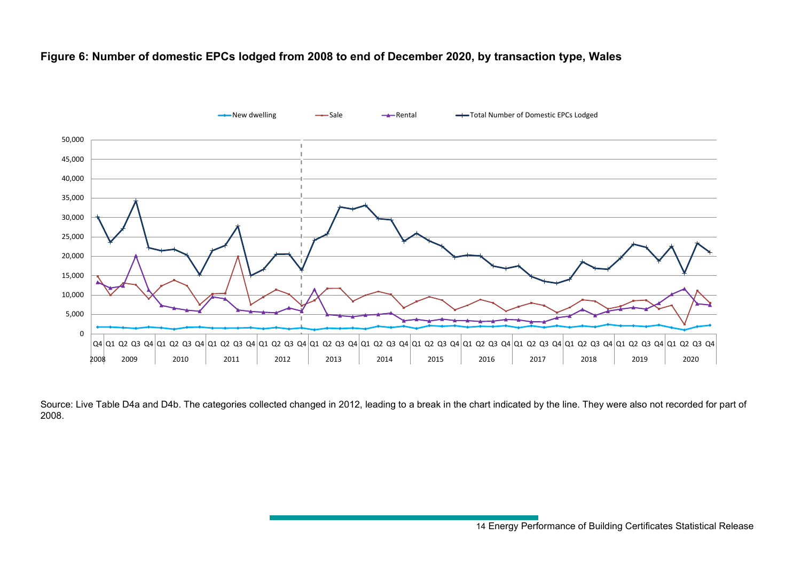#### **Figure 6: Number of domestic EPCs lodged from 2008 to end of December 2020, by transaction type, Wales**



Source: Live Table D4a and D4b. The categories collected changed in 2012, leading to a break in the chart indicated by the line. They were also not recorded for part of 2008.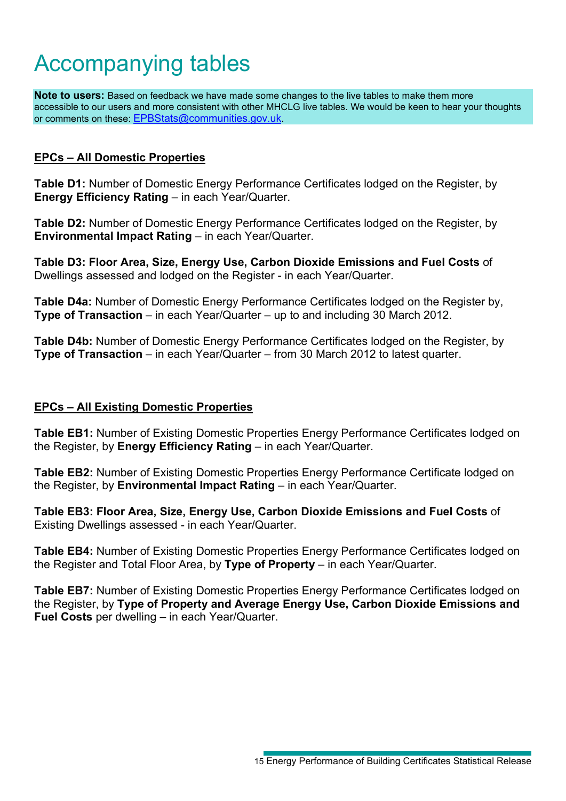# <span id="page-14-0"></span>Accompanying tables

**Note to users:** Based on feedback we have made some changes to the live tables to make them more accessible to our users and more consistent with other MHCLG live tables. We would be keen to hear your thoughts or comments on these: [EPBStats@communities.gov.uk.](mailto:EPBStats@communities.gov.uk)

#### **EPCs – All Domestic Properties**

**Table D1:** Number of Domestic Energy Performance Certificates lodged on the Register, by **Energy Efficiency Rating** – in each Year/Quarter.

**Table D2:** Number of Domestic Energy Performance Certificates lodged on the Register, by **Environmental Impact Rating** – in each Year/Quarter.

**Table D3: Floor Area, Size, Energy Use, Carbon Dioxide Emissions and Fuel Costs** of Dwellings assessed and lodged on the Register - in each Year/Quarter.

**Table D4a:** Number of Domestic Energy Performance Certificates lodged on the Register by, **Type of Transaction** – in each Year/Quarter – up to and including 30 March 2012.

**Table D4b:** Number of Domestic Energy Performance Certificates lodged on the Register, by **Type of Transaction** – in each Year/Quarter – from 30 March 2012 to latest quarter.

#### **EPCs – All Existing Domestic Properties**

**Table EB1:** Number of Existing Domestic Properties Energy Performance Certificates lodged on the Register, by **Energy Efficiency Rating** – in each Year/Quarter.

**Table EB2:** Number of Existing Domestic Properties Energy Performance Certificate lodged on the Register, by **Environmental Impact Rating** – in each Year/Quarter.

**Table EB3: Floor Area, Size, Energy Use, Carbon Dioxide Emissions and Fuel Costs** of Existing Dwellings assessed - in each Year/Quarter.

**Table EB4:** Number of Existing Domestic Properties Energy Performance Certificates lodged on the Register and Total Floor Area, by **Type of Property** – in each Year/Quarter.

**Table EB7:** Number of Existing Domestic Properties Energy Performance Certificates lodged on the Register, by **Type of Property and Average Energy Use, Carbon Dioxide Emissions and Fuel Costs** per dwelling – in each Year/Quarter.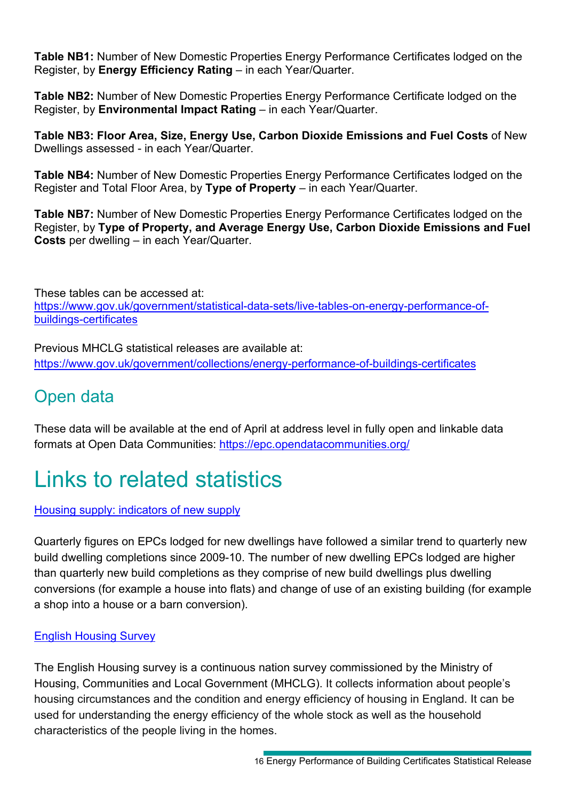**Table NB1:** Number of New Domestic Properties Energy Performance Certificates lodged on the Register, by **Energy Efficiency Rating** – in each Year/Quarter.

**Table NB2:** Number of New Domestic Properties Energy Performance Certificate lodged on the Register, by **Environmental Impact Rating** – in each Year/Quarter.

**Table NB3: Floor Area, Size, Energy Use, Carbon Dioxide Emissions and Fuel Costs** of New Dwellings assessed - in each Year/Quarter.

**Table NB4:** Number of New Domestic Properties Energy Performance Certificates lodged on the Register and Total Floor Area, by **Type of Property** – in each Year/Quarter.

**Table NB7:** Number of New Domestic Properties Energy Performance Certificates lodged on the Register, by **Type of Property, and Average Energy Use, Carbon Dioxide Emissions and Fuel Costs** per dwelling – in each Year/Quarter.

These tables can be accessed at: [https://www.gov.uk/government/statistical-data-sets/live-tables-on-energy-performance-of](https://www.gov.uk/government/statistical-data-sets/live-tables-on-energy-performance-of-buildings-certificates)[buildings-certificates](https://www.gov.uk/government/statistical-data-sets/live-tables-on-energy-performance-of-buildings-certificates)

Previous MHCLG statistical releases are available at: <https://www.gov.uk/government/collections/energy-performance-of-buildings-certificates>

# Open data

These data will be available at the end of April at address level in fully open and linkable data formats at Open Data Communities: <https://epc.opendatacommunities.org/>

# Links to related statistics

### [Housing supply: indicators of new supply](https://www.gov.uk/government/collections/house-building-statistics)

Quarterly figures on EPCs lodged for new dwellings have followed a similar trend to quarterly new build dwelling completions since 2009-10. The number of new dwelling EPCs lodged are higher than quarterly new build completions as they comprise of new build dwellings plus dwelling conversions (for example a house into flats) and change of use of an existing building (for example a shop into a house or a barn conversion).

## [English Housing Survey](https://www.gov.uk/government/collections/english-housing-survey)

The English Housing survey is a continuous nation survey commissioned by the Ministry of Housing, Communities and Local Government (MHCLG). It collects information about people's housing circumstances and the condition and energy efficiency of housing in England. It can be used for understanding the energy efficiency of the whole stock as well as the household characteristics of the people living in the homes.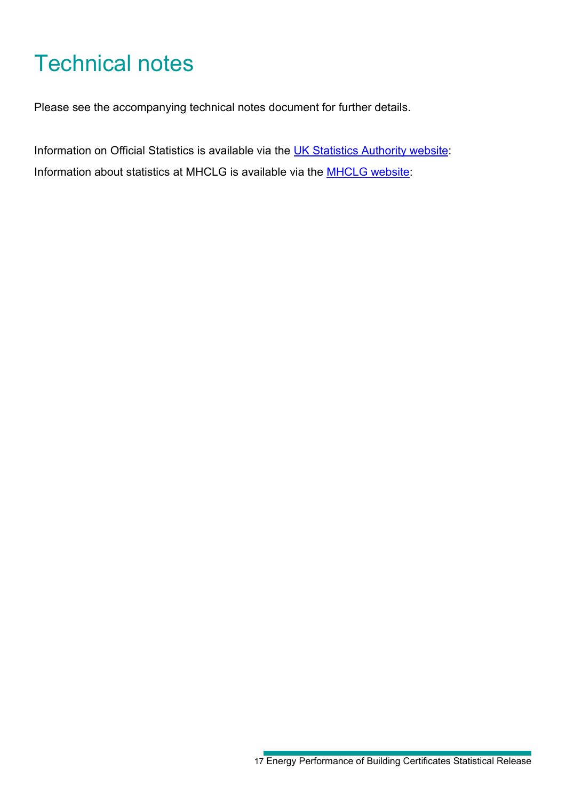# <span id="page-16-0"></span>Technical notes

Please see the accompanying technical notes document for further details.

Information on Official Statistics is available via the [UK Statistics Authority website:](https://www.statisticsauthority.gov.uk/) Information about statistics at MHCLG is available via the [MHCLG](http://www.gov.uk/government/organisations/department-for-communities-and-local-government/about/statistics) website: